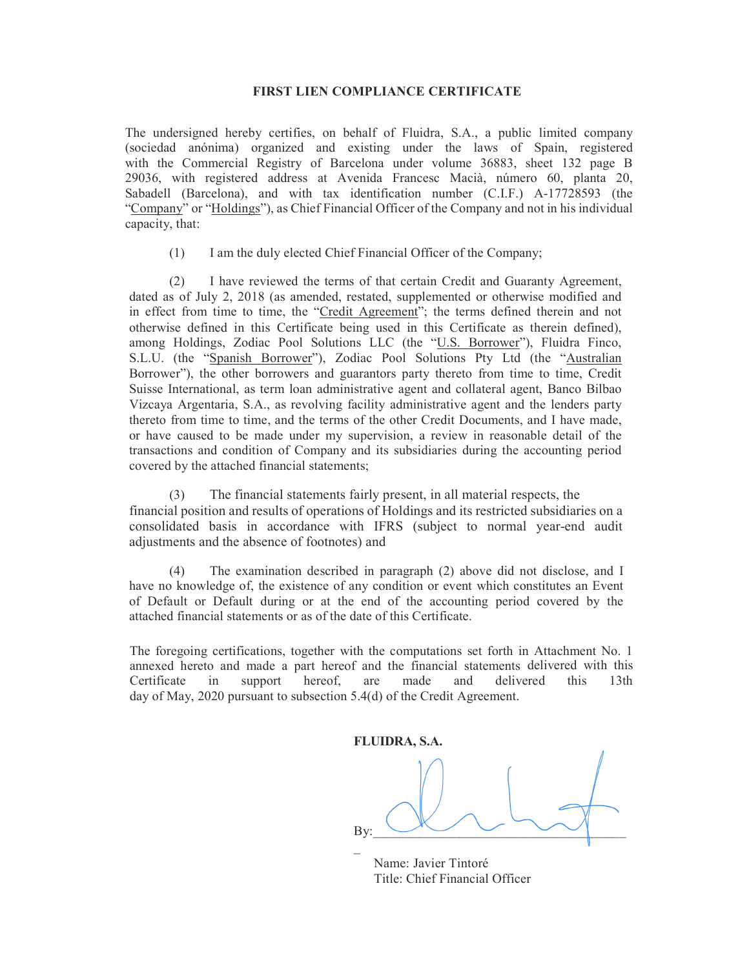## FIRST LIEN COMPLIANCE CERTIFICATE

The undersigned hereby certifies, on behalf of Fluidra, S.A., a public limited company (sociedad anónima) organized and existing under the laws of Spain, registered with the Commercial Registry of Barcelona under volume 36883, sheet 132 page B 29036, with registered address at Avenida Francesc Macià, número 60, planta 20, Sabadell (Barcelona), and with tax identification number (C.I.F.) A-17728593 (the "Company" or "Holdings"), as Chief Financial Officer of the Company and not in his individual capacity, that:

(1) I am the duly elected Chief Financial Officer of the Company;

(2) I have reviewed the terms of that certain Credit and Guaranty Agreement, dated as of July 2, 2018 (as amended, restated, supplemented or otherwise modified and in effect from time to time, the "Credit Agreement"; the terms defined therein and not otherwise defined in this Certificate being used in this Certificate as therein defined), among Holdings, Zodiac Pool Solutions LLC (the "U.S. Borrower"), Fluidra Finco, S.L.U. (the "Spanish Borrower"), Zodiac Pool Solutions Pty Ltd (the "Australian Borrower"), the other borrowers and guarantors party thereto from time to time, Credit Suisse International, as term loan administrative agent and collateral agent, Banco Bilbao Vizcaya Argentaria, S.A., as revolving facility administrative agent and the lenders party thereto from time to time, and the terms of the other Credit Documents, and I have made, or have caused to be made under my supervision, a review in reasonable detail of the transactions and condition of Company and its subsidiaries during the accounting period covered by the attached financial statements;

(3) The financial statements fairly present, in all material respects, the financial position and results of operations of Holdings and its restricted subsidiaries on a consolidated basis in accordance with IFRS (subject to normal year-end audit adjustments and the absence of footnotes) and

(4) The examination described in paragraph (2) above did not disclose, and I have no knowledge of, the existence of any condition or event which constitutes an Event of Default or Default during or at the end of the accounting period covered by the attached financial statements or as of the date of this Certificate.

The foregoing certifications, together with the computations set forth in Attachment No. 1 annexed hereto and made a part hereof and the financial statements delivered with this Certificate in support hereof, are made and delivered this 13th day of May, 2020 pursuant to subsection 5.4(d) of the Credit Agreement.

FLUIDRA, S.A. By:  $\cup$   $\cup$   $\cup$  $\mathcal{L}(\mathcal{L})$ 

 Name: Javier Tintoré Title: Chief Financial Officer